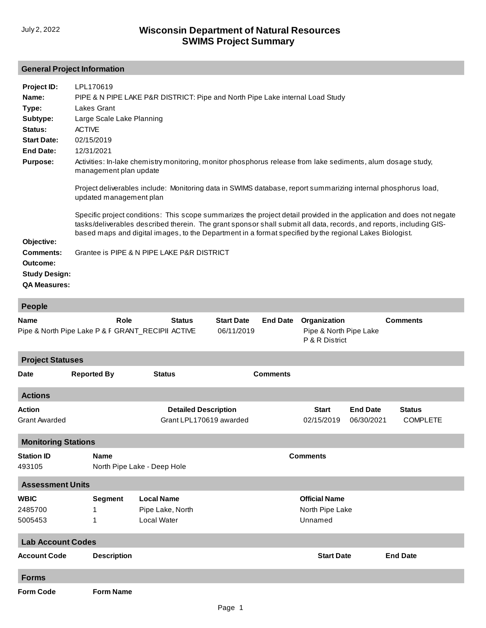# **General Project Information**

| Project ID:                                          | LPL170619                                                                                                                                                                                                                                                                                                                                               |
|------------------------------------------------------|---------------------------------------------------------------------------------------------------------------------------------------------------------------------------------------------------------------------------------------------------------------------------------------------------------------------------------------------------------|
|                                                      |                                                                                                                                                                                                                                                                                                                                                         |
| Name:                                                | PIPE & N PIPE LAKE P&R DISTRICT: Pipe and North Pipe Lake internal Load Study                                                                                                                                                                                                                                                                           |
| Type:                                                | Lakes Grant                                                                                                                                                                                                                                                                                                                                             |
| Subtype:                                             | Large Scale Lake Planning                                                                                                                                                                                                                                                                                                                               |
| Status:                                              | <b>ACTIVE</b>                                                                                                                                                                                                                                                                                                                                           |
| <b>Start Date:</b>                                   | 02/15/2019                                                                                                                                                                                                                                                                                                                                              |
| End Date:                                            | 12/31/2021                                                                                                                                                                                                                                                                                                                                              |
| <b>Purpose:</b>                                      | Activities: In-lake chemistry monitoring, monitor phosphorus release from lake sediments, alum dosage study,<br>management plan update                                                                                                                                                                                                                  |
|                                                      | Project deliverables include: Monitoring data in SWIMS database, report summarizing internal phosphorus load,<br>updated management plan                                                                                                                                                                                                                |
| Objective:                                           | Specific project conditions: This scope summarizes the project detail provided in the application and does not negate<br>tasks/deliverables described therein. The grant sponsor shall submit all data, records, and reports, including GIS-<br>based maps and digital images, to the Department in a format specified by the regional Lakes Biologist. |
| <b>Comments:</b><br>Outcome:<br><b>Study Design:</b> | Grantee is PIPE & N PIPE LAKE P&R DISTRICT                                                                                                                                                                                                                                                                                                              |

**QA Measures:**

| <b>People</b>                         |                                                           |                                                             |                                                        |                 |                                                          |                               |                                  |
|---------------------------------------|-----------------------------------------------------------|-------------------------------------------------------------|--------------------------------------------------------|-----------------|----------------------------------------------------------|-------------------------------|----------------------------------|
| <b>Name</b>                           | Role<br>Pipe & North Pipe Lake P & F GRANT_RECIPII ACTIVE | <b>Status</b>                                               | <b>Start Date</b><br>06/11/2019                        | <b>End Date</b> | Organization<br>Pipe & North Pipe Lake<br>P & R District |                               | <b>Comments</b>                  |
| <b>Project Statuses</b>               |                                                           |                                                             |                                                        |                 |                                                          |                               |                                  |
| <b>Date</b>                           | <b>Reported By</b>                                        | <b>Status</b>                                               |                                                        | <b>Comments</b> |                                                          |                               |                                  |
| <b>Actions</b>                        |                                                           |                                                             |                                                        |                 |                                                          |                               |                                  |
| <b>Action</b><br><b>Grant Awarded</b> |                                                           |                                                             | <b>Detailed Description</b><br>Grant LPL170619 awarded |                 | <b>Start</b><br>02/15/2019                               | <b>End Date</b><br>06/30/2021 | <b>Status</b><br><b>COMPLETE</b> |
| <b>Monitoring Stations</b>            |                                                           |                                                             |                                                        |                 |                                                          |                               |                                  |
| <b>Station ID</b><br>493105           | <b>Name</b>                                               | North Pipe Lake - Deep Hole                                 |                                                        |                 | <b>Comments</b>                                          |                               |                                  |
| <b>Assessment Units</b>               |                                                           |                                                             |                                                        |                 |                                                          |                               |                                  |
| <b>WBIC</b><br>2485700<br>5005453     | <b>Segment</b><br>$\mathbf{1}$<br>1                       | <b>Local Name</b><br>Pipe Lake, North<br><b>Local Water</b> |                                                        |                 | <b>Official Name</b><br>North Pipe Lake<br>Unnamed       |                               |                                  |
| <b>Lab Account Codes</b>              |                                                           |                                                             |                                                        |                 |                                                          |                               |                                  |
| <b>Account Code</b>                   | <b>Description</b>                                        |                                                             |                                                        |                 | <b>Start Date</b>                                        |                               | <b>End Date</b>                  |
| <b>Forms</b>                          |                                                           |                                                             |                                                        |                 |                                                          |                               |                                  |
| <b>Form Code</b>                      | <b>Form Name</b>                                          |                                                             |                                                        |                 |                                                          |                               |                                  |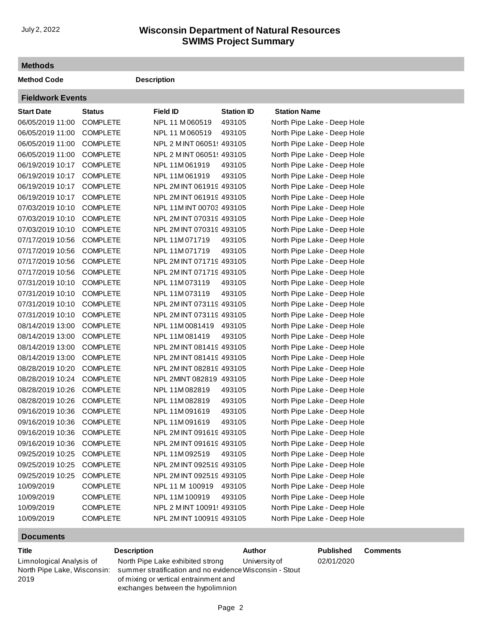### **SWIMS Project Summary** July 2, 2022 **Wisconsin Department of Natural Resources**

#### **Methods**

**Method Code Description** 

| <b>Fieldwork Events</b> |                 |                          |                   |                             |  |  |
|-------------------------|-----------------|--------------------------|-------------------|-----------------------------|--|--|
| <b>Start Date</b>       | <b>Status</b>   | <b>Field ID</b>          | <b>Station ID</b> | <b>Station Name</b>         |  |  |
| 06/05/2019 11:00        | <b>COMPLETE</b> | NPL 11 M 060519          | 493105            | North Pipe Lake - Deep Hole |  |  |
| 06/05/2019 11:00        | <b>COMPLETE</b> | NPL 11 M060519           | 493105            | North Pipe Lake - Deep Hole |  |  |
| 06/05/2019 11:00        | <b>COMPLETE</b> | NPL 2 MINT 060519493105  |                   | North Pipe Lake - Deep Hole |  |  |
| 06/05/2019 11:00        | <b>COMPLETE</b> | NPL 2 MINT 060519493105  |                   | North Pipe Lake - Deep Hole |  |  |
| 06/19/2019 10:17        | <b>COMPLETE</b> | NPL 11M 061919           | 493105            | North Pipe Lake - Deep Hole |  |  |
| 06/19/2019 10:17        | <b>COMPLETE</b> | NPL 11M 061919           | 493105            | North Pipe Lake - Deep Hole |  |  |
| 06/19/2019 10:17        | <b>COMPLETE</b> | NPL 2M INT 061919 493105 |                   | North Pipe Lake - Deep Hole |  |  |
| 06/19/2019 10:17        | <b>COMPLETE</b> | NPL 2M INT 061919 493105 |                   | North Pipe Lake - Deep Hole |  |  |
| 07/03/2019 10:10        | <b>COMPLETE</b> | NPL 11M INT 00703 493105 |                   | North Pipe Lake - Deep Hole |  |  |
| 07/03/2019 10:10        | <b>COMPLETE</b> | NPL 2M INT 070319 493105 |                   | North Pipe Lake - Deep Hole |  |  |
| 07/03/2019 10:10        | <b>COMPLETE</b> | NPL 2M INT 070319 493105 |                   | North Pipe Lake - Deep Hole |  |  |
| 07/17/2019 10:56        | <b>COMPLETE</b> | NPL 11M 071719           | 493105            | North Pipe Lake - Deep Hole |  |  |
| 07/17/2019 10:56        | <b>COMPLETE</b> | NPL 11M 071719           | 493105            | North Pipe Lake - Deep Hole |  |  |
| 07/17/2019 10:56        | <b>COMPLETE</b> | NPL 2M INT 071719 493105 |                   | North Pipe Lake - Deep Hole |  |  |
| 07/17/2019 10:56        | <b>COMPLETE</b> | NPL 2M INT 071719 493105 |                   | North Pipe Lake - Deep Hole |  |  |
| 07/31/2019 10:10        | <b>COMPLETE</b> | NPL 11M073119            | 493105            | North Pipe Lake - Deep Hole |  |  |
| 07/31/2019 10:10        | <b>COMPLETE</b> | NPL 11M073119            | 493105            | North Pipe Lake - Deep Hole |  |  |
| 07/31/2019 10:10        | <b>COMPLETE</b> | NPL 2M INT 073119 493105 |                   | North Pipe Lake - Deep Hole |  |  |
| 07/31/2019 10:10        | <b>COMPLETE</b> | NPL 2M INT 073119 493105 |                   | North Pipe Lake - Deep Hole |  |  |
| 08/14/2019 13:00        | <b>COMPLETE</b> | NPL 11M 0081419          | 493105            | North Pipe Lake - Deep Hole |  |  |
| 08/14/2019 13:00        | <b>COMPLETE</b> | NPL 11M 081419           | 493105            | North Pipe Lake - Deep Hole |  |  |
| 08/14/2019 13:00        | <b>COMPLETE</b> | NPL 2M INT 081419 493105 |                   | North Pipe Lake - Deep Hole |  |  |
| 08/14/2019 13:00        | <b>COMPLETE</b> | NPL 2M INT 081419 493105 |                   | North Pipe Lake - Deep Hole |  |  |
| 08/28/2019 10:20        | <b>COMPLETE</b> | NPL 2M INT 082819 493105 |                   | North Pipe Lake - Deep Hole |  |  |
| 08/28/2019 10:24        | <b>COMPLETE</b> | NPL 2MINT 082819 493105  |                   | North Pipe Lake - Deep Hole |  |  |
| 08/28/2019 10:26        | <b>COMPLETE</b> | NPL 11M082819            | 493105            | North Pipe Lake - Deep Hole |  |  |
| 08/28/2019 10:26        | <b>COMPLETE</b> | NPL 11M 082819           | 493105            | North Pipe Lake - Deep Hole |  |  |
| 09/16/2019 10:36        | <b>COMPLETE</b> | NPL 11M 091619           | 493105            | North Pipe Lake - Deep Hole |  |  |
| 09/16/2019 10:36        | <b>COMPLETE</b> | NPL 11M 091619           | 493105            | North Pipe Lake - Deep Hole |  |  |
| 09/16/2019 10:36        | <b>COMPLETE</b> | NPL 2M INT 091619 493105 |                   | North Pipe Lake - Deep Hole |  |  |
| 09/16/2019 10:36        | <b>COMPLETE</b> | NPL 2M INT 091619 493105 |                   | North Pipe Lake - Deep Hole |  |  |
| 09/25/2019 10:25        | <b>COMPLETE</b> | NPL 11M 092519           | 493105            | North Pipe Lake - Deep Hole |  |  |
| 09/25/2019 10:25        | <b>COMPLETE</b> | NPL 2M INT 092519 493105 |                   | North Pipe Lake - Deep Hole |  |  |
| 09/25/2019 10:25        | <b>COMPLETE</b> | NPL 2M INT 092519 493105 |                   | North Pipe Lake - Deep Hole |  |  |
| 10/09/2019              | <b>COMPLETE</b> | NPL 11 M 100919          | 493105            | North Pipe Lake - Deep Hole |  |  |
| 10/09/2019              | <b>COMPLETE</b> | NPL 11M 100919           | 493105            | North Pipe Lake - Deep Hole |  |  |
| 10/09/2019              | <b>COMPLETE</b> | NPL 2 MINT 10091! 493105 |                   | North Pipe Lake - Deep Hole |  |  |
| 10/09/2019              | <b>COMPLETE</b> | NPL 2M INT 100919 493105 |                   | North Pipe Lake - Deep Hole |  |  |

### **Documents**

| ×<br>۰.<br>v |
|--------------|
|--------------|

| Limnological Analysis of    |  |  |  |  |
|-----------------------------|--|--|--|--|
| North Pipe Lake, Wisconsin: |  |  |  |  |
| 2019                        |  |  |  |  |

**The Description Title Example 2 Author Published Comments** North Pipe Lake exhibited strong [summer stratification and no evidence](http://prodoasint.dnr.wi.gov/swims/downloadDocument.do?id=269773638) Wisconsin - Stout of mixing or vertical entrainment and exchanges between the hypolimnion University of

### 02/01/2020